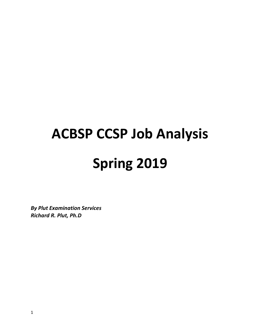# **ACBSP CCSP Job Analysis Spring 2019**

*By Plut Examination Services Richard R. Plut, Ph.D*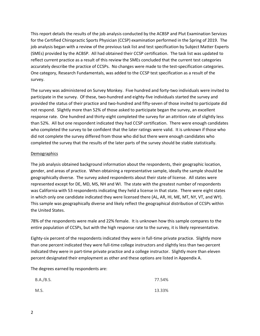This report details the results of the job analysis conducted by the ACBSP and Plut Examination Services for the Certified Chiropractic Sports Physician (CCSP) examination performed in the Spring of 2019. The job analysis began with a review of the previous task list and test specification by Subject Matter Experts (SMEs) provided by the ACBSP. All had obtained their CCSP certification. The task list was updated to reflect current practice as a result of this review the SMEs concluded that the current test categories accurately describe the practice of CCSPs. No changes were made to the test-specification categories. One category, Research Fundamentals, was added to the CCSP test specification as a result of the survey.

The survey was administered on Survey Monkey. Five hundred and forty-two individuals were invited to participate in the survey. Of these, two-hundred and eighty-five individuals started the survey and provided the status of their practice and two-hundred and fifty-seven of those invited to participate did not respond. Slightly more than 52% of those asked to participate began the survey, an excellent response rate. One hundred and thirty-eight completed the survey for an attrition rate of slightly less than 52%. All but one respondent indicated they had CCSP certification. There were enough candidates who completed the survey to be confident that the later ratings were valid. It is unknown if those who did not complete the survey differed from those who did but there were enough candidates who completed the survey that the results of the later parts of the survey should be stable statistically.

#### Demographics

The job analysis obtained background information about the respondents, their geographic location, gender, and areas of practice. When obtaining a representative sample, ideally the sample should be geographically diverse. The survey asked respondents about their state of license. All states were represented except for DE, MD, MS, NH and WI. The state with the greatest number of respondents was California with 53 respondents indicating they held a license in that state. There were eight states in which only one candidate indicated they were licensed there (AL, AR, HI, ME, MT, NY, VT, and WY). This sample was geographically diverse and likely reflect the geographical distribution of CCSPs within the United States.

78% of the respondents were male and 22% female. It is unknown how this sample compares to the entire population of CCSPs, but with the high response rate to the survey, it is likely representative.

Eighty-six percent of the respondents indicated they were in full-time private practice. Slightly more than one percent indicated they were full-time college instructors and slightly less than two percent indicated they were in part-time private practice and a college instructor. Slightly more than eleven percent designated their employment as other and these options are listed in Appendix A.

The degrees earned by respondents are:

| B.A./B.S. | 77.54% |
|-----------|--------|
| M.S.      | 13.33% |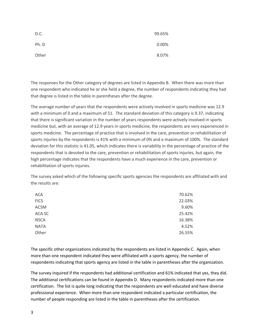| D.C.  | 99.65% |
|-------|--------|
| Ph. D | 0.00%  |
| Other | 8.07%  |

The responses for the Other category of degrees are listed in Appendix B. When there was more than one respondent who indicated he or she held a degree, the number of respondents indicating they had that degree is listed in the table in parentheses after the degree.

The average number of years that the respondents were actively involved in sports medicine was 12.9 with a minimum of 0 and a maximum of 51. The standard deviation of this category is 9.37, indicating that there is significant variation in the number of years respondents were actively involved in sports medicine but, with an average of 12.9 years in sports medicine, the respondents are very experienced in sports medicine. The percentage of practice that is involved in the care, prevention or rehabilitation of sports injuries by the respondents is 41% with a minimum of 0% and a maximum of 100%. The standard deviation for this statistic is 41.05, which indicates there is variability in the percentage of practice of the respondents that is devoted to the care, prevention or rehabilitation of sports injuries, but again, the high percentage indicates that the respondents have a much experience in the care, prevention or rehabilitation of sports injuries.

The survey asked which of the following specific sports agencies the respondents are affiliated with and the results are:

| <b>ACA</b>  | 70.62% |
|-------------|--------|
| <b>FICS</b> | 22.03% |
| <b>ACSM</b> | 9.60%  |
| ACA SC      | 25.42% |
| <b>NSCA</b> | 16.38% |
| <b>NATA</b> | 4.52%  |
| Other       | 26.55% |

The specific other organizations indicated by the respondents are listed in Appendix C. Again, when more than one respondent indicated they were affiliated with a sports agency, the number of respondents indicating that sports agency are listed in the table in parentheses after the organization.

The survey inquired if the respondents had additional certification and 61% indicated that yes, they did. The additional certifications can be found in Appendix D. Many respondents indicated more than one certification. The list is quite long indicating that the respondents are well educated and have diverse professional experience. When more than one respondent indicated a particular certification, the number of people responding are listed in the table in parentheses after the certification.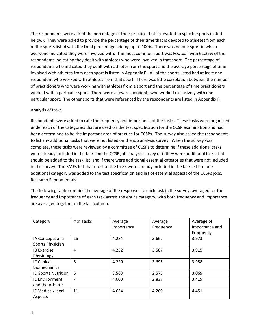The respondents were asked the percentage of their practice that is devoted to specific sports (listed below). They were asked to provide the percentage of their time that is devoted to athletes from each of the sports listed with the total percentage adding up to 100%. There was no one sport in which everyone indicated they were involved with. The most common sport was Football with 61.25% of the respondents indicating they dealt with athletes who were involved in that sport. The percentage of respondents who indicated they dealt with athletes from the sport and the average percentage of time involved with athletes from each sport is listed in Appendix E. All of the sports listed had at least one respondent who worked with athletes from that sport. There was little correlation between the number of practitioners who were working with athletes from a sport and the percentage of time practitioners worked with a particular sport. There were a few respondents who worked exclusively with one particular sport. The other sports that were referenced by the respondents are listed in Appendix F.

#### Analysis of tasks.

Respondents were asked to rate the frequency and importance of the tasks. These tasks were organized under each of the categories that are used on the test specification for the CCSP examination and had been determined to be the important area of practice for CCSPs. The survey also asked the respondents to list any additional tasks that were not listed on the job analysis survey. When the survey was complete, these tasks were reviewed by a committee of CCSPs to determine if these additional tasks were already included in the tasks on the CCSP job analysis survey or if they were additional tasks that should be added to the task list, and if there were additional essential categories that were not included in the survey. The SMEs felt that most of the tasks were already included in the task list but one additional category was added to the test specification and list of essential aspects of the CCSPs jobs, Research Fundamentals.

The following table contains the average of the responses to each task in the survey, averaged for the frequency and importance of each task across the entire category, with both frequency and importance are averaged together in the last column.

| Category                   | # of Tasks | Average    | Average   | Average of     |
|----------------------------|------------|------------|-----------|----------------|
|                            |            | Importance | Frequency | Importance and |
|                            |            |            |           | Frequency      |
| IA Concepts of a           | 26         | 4.284      | 3.662     | 3.973          |
| Sports Physician           |            |            |           |                |
| <b>IB Exercise</b>         | 4          | 4.252      | 3.567     | 3.915          |
| Physiology                 |            |            |           |                |
| <b>IC Clinical</b>         | 6          | 4.220      | 3.695     | 3.958          |
| <b>Biomechanics</b>        |            |            |           |                |
| <b>ID Sports Nutrition</b> | 6          | 3.563      | 2.575     | 3.069          |
| <b>IE Environment</b>      | 7          | 4.000      | 2.837     | 3.419          |
| and the Athlete            |            |            |           |                |
| IF Medical/Legal           | 11         | 4.634      | 4.269     | 4.451          |
| Aspects                    |            |            |           |                |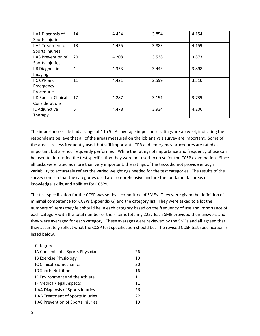| <b>IIA1 Diagnosis of</b>    | 14 | 4.454 | 3.854 | 4.154 |
|-----------------------------|----|-------|-------|-------|
| Sports Injuries             |    |       |       |       |
| <b>IIA2 Treatment of</b>    | 13 | 4.435 | 3.883 | 4.159 |
| Sports Injuries             |    |       |       |       |
| <b>IIA3 Prevention of</b>   | 20 | 4.208 | 3.538 | 3.873 |
| Sports Injuries             |    |       |       |       |
| <b>IIB Diagnostic</b>       | 4  | 4.353 | 3.443 | 3.898 |
| Imaging                     |    |       |       |       |
| <b>IIC CPR and</b>          | 11 | 4.421 | 2.599 | 3.510 |
| Emergency                   |    |       |       |       |
| Procedures                  |    |       |       |       |
| <b>IID Special Clinical</b> | 17 | 4.287 | 3.191 | 3.739 |
| Considerations              |    |       |       |       |
| IE Adjunctive               | 5  | 4.478 | 3.934 | 4.206 |
| Therapy                     |    |       |       |       |

The importance scale had a range of 1 to 5. All average importance ratings are above 4, indicating the respondents believe that all of the areas measured on the job analysis survey are important. Some of the areas are less frequently used, but still important. CPR and emergency procedures are rated as important but are not frequently performed. While the ratings of importance and frequency of use can be used to determine the test specification they were not used to do so for the CCSP examination. Since all tasks were rated as more than very important, the ratings of the tasks did not provide enough variability to accurately reflect the varied weightings needed for the test categories. The results of the survey confirm that the categories used are comprehensive and are the fundamental areas of knowledge, skills, and abilities for CCSPs.

The test specification for the CCSP was set by a committee of SMEs. They were given the definition of minimal competence for CCSPs (Appendix G) and the category list. They were asked to allot the numbers of items they felt should be in each category based on the frequency of use and importance of each category with the total number of their items totaling 225. Each SME provided their answers and they were averaged for each category. These averages were reviewed by the SMEs and all agreed that they accurately reflect what the CCSP test specification should be. The revised CCSP test specification is listed below.

| Category                                  |    |
|-------------------------------------------|----|
| IA Concepts of a Sports Physician         | 26 |
| IB Exercise Physiology                    | 19 |
| IC Clinical Biomechanics                  | 20 |
| <b>ID Sports Nutrition</b>                | 16 |
| IE Environment and the Athlete            | 11 |
| IF Medical/legal Aspects                  | 11 |
| <b>IIAA Diagnosis of Sports Injuries</b>  | 26 |
| <b>IIAB Treatment of Sports Injuries</b>  | 22 |
| <b>IIAC Prevention of Sports Injuries</b> | 19 |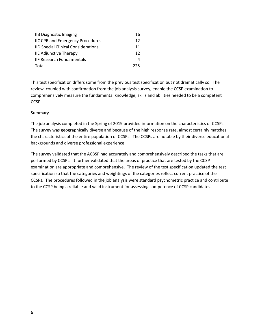| <b>IIB Diagnostic Imaging</b>              | 16  |
|--------------------------------------------|-----|
| <b>IIC CPR and Emergency Procedures</b>    | 12  |
| <b>IID Special Clinical Considerations</b> | 11  |
| <b>IIE Adjunctive Therapy</b>              | 12  |
| <b>IIF Research Fundamentals</b>           | 4   |
| Total                                      | つつら |

This test specification differs some from the previous test specification but not dramatically so. The review, coupled with confirmation from the job analysis survey, enable the CCSP examination to comprehensively measure the fundamental knowledge, skills and abilities needed to be a competent CCSP.

#### **Summary**

The job analysis completed in the Spring of 2019 provided information on the characteristics of CCSPs. The survey was geographically diverse and because of the high response rate, almost certainly matches the characteristics of the entire population of CCSPs. The CCSPs are notable by their diverse educational backgrounds and diverse professional experience.

The survey validated that the ACBSP had accurately and comprehensively described the tasks that are performed by CCSPs. It further validated that the areas of practice that are tested by the CCSP examination are appropriate and comprehensive. The review of the test specification updated the test specification so that the categories and weightings of the categories reflect current practice of the CCSPs. The procedures followed in the job analysis were standard psychometric practice and contribute to the CCSP being a reliable and valid instrument for assessing competence of CCSP candidates.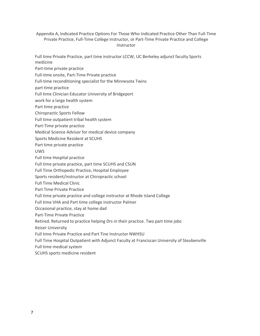Appendix A, Indicated Practice Options For Those Who Indicated Practice Other Than Full-Time Private Practice, Full-Time College Instructor, or Part-Time Private Practice and College **Instructor** 

Full time Private Practice, part time instructor LCCW, UC Berkeley adjunct faculty Sports medicine

Part-time private practice

Full-time onsite, Part-Time Private practice

Full-time reconditioning specialist for the Minnesota Twins

part time practice

Full time Clinician Educator University of Bridgeport

work for a large health system

Part time practice

Chiropractic Sports Fellow

- Full time outpatient tribal health system
- Part-Time private practice
- Medical Science Advisor for medical device company
- Sports Medicine Resident at SCUHS
- Part time private practice

UWS

- Full time Hospital practice
- Full time private practice, part time SCUHS and CSUN
- Full Time Orthopedic Practice, Hospital Employee
- Sports resident/instructor at Chiropractic school
- Full Time Medical Clinic
- Part Time Private Practice

Full time private practice and college instructor at Rhode Island College

Full time VHA and Part time college instructor Palmer

Occasional practice, stay at home dad

Part-Time Private Practice

Retired. Returned to practice helping Drs in their practice. Two part time jobs

Keiser University

Full time Private Practice and Part Tine Instructor NWHSU

Full Time Hospital Outpatient with Adjunct Faculty at Franciscan University of Steubenville

Full time medical system

SCUHS sports medicine resident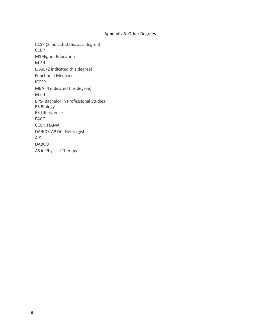#### Appendix B. Other Degrees

CCSP (3 indicated this as a degree) CCEP MS Higher Education M.Ed. L. Ac. (2 indicated this degree) Functional Medicine ICCSP MBA (4 indicated this degree) M.ed. BPS- Bachelor in Professional Studies BS Biology BS Life Science FACO CCSP, FIAMA DABCO, AP DC, Neurolgist A.S. DABCO AS in Physical Therapy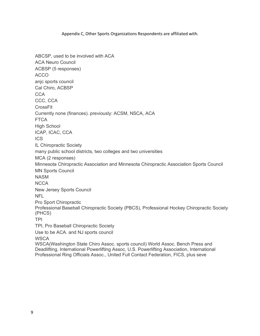#### Appendix C, Other Sports Organizations Respondents are affiliated with.

ABCSP, used to be involved with ACA ACA Neuro Council ACBSP (5 responses) ACCO anjc sports council Cal Chiro, ACBSP **CCA** CCC, CCA CrossFit Currently none (finances). previously: ACSM, NSCA, ACA **FTCA** High School ICAP, ICAC, CCA **ICS** IL Chiropractic Society many public school districts, two colleges and two universities MCA (2 responses) Minnesota Chiropractic Association and Minnesota Chiropractic Association Sports Council MN Sports Council NASM **NCCA** New Jersey Sports Council NFL Pro Sport Chiropractic Professional Baseball Chiropractic Society (PBCS), Professional Hockey Chiropractic Society (PHCS) TPI TPI, Pro Baseball Chiropractic Society Use to be ACA. and NJ sports council **WSCA** WSCA(Washington State Chiro Assoc. sports council) World Assoc. Bench Press and Deadlifting, International Powerlifting Assoc, U.S. Powerlifting Association, International Professional Ring Officials Assoc., United Full Contact Federation, FICS, plus seve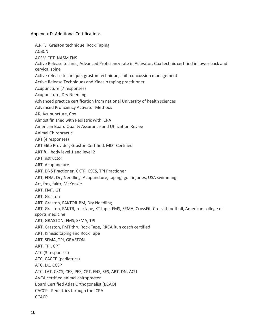Appendix D. Additional Certifications.

A.R.T. Graston technique. Rock Taping ACBCN ACSM CPT. NASM FNS Active Release technic, Advanced Proficiency rate in Activator, Cox technic certified in lower back and cervical spine Active release technique, graston technique, shift concussion management Active Release Techniques and Kinesio taping practitioner Acupuncture (7 responses) Acupuncture, Dry Needling Advanced practice certification from national University of health sciences Advanced Proficiency Activator Methods AK, Acupuncture, Cox Almost finished with Pediatric with ICPA American Board Quality Assurance and Utilization Reviee Animal Chiropractic ART (4 responses) ART Elite Provider, Graston Certified, MDT Certified ART full body level 1 and level 2 ART Instructor ART, Acupuncture ART, DNS Practioner, CKTP, CSCS, TPI Practioner ART, FDM, Dry Needling, Acupuncture, taping, golf injuries, USA swimming Art, fms, faktr, McKenzie ART, FMT, GT ART, Graston ART, Graston, FAKTOR-PM, Dry Needling ART, Graston, FAKTR, rocktape, KT tape, FMS, SFMA, CrossFit, Crossfit football, American college of sports medicine ART, GRASTON, FMS, SFMA, TPI ART, Graston, FMT thru Rock Tape, RRCA Run coach certified ART, Kinesio taping and Rock Tape ART, SFMA, TPI, GRASTON ART, TPI, CPT ATC (3 responses) ATC, CACCP (pediatrics) ATC, DC, CCSP ATC, LAT, CSCS, CES, PES, CPT, FNS, SFS, ART, DN, ACU AVCA certified animal chiropractor Board Certified Atlas Orthogonalist (BCAO) CACCP - Pediatrics through the ICPA **CCACP**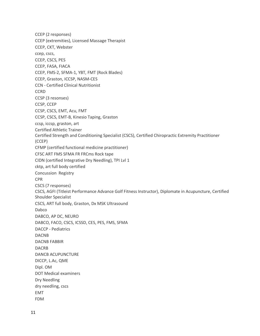CCEP (2 responses) CCEP (extremities), Licensed Massage Therapist CCEP, CKT, Webster ccep, cscs, CCEP, CSCS, PES CCEP, FASA, FIACA CCEP, FMS-2, SFMA-1, YBT, FMT (Rock Blades) CCEP, Graston, ICCSP, NASM-CES CCN - Certified Clinical Nutritionist **CCRD** CCSP (3 resonses) CCSP, CCEP CCSP, CSCS, EMT, Acu, FMT CCSP, CSCS, EMT-B, Kinesio Taping, Graston ccsp, iccsp, graston, art Certified Athletic Trainer Certified Strength and Conditioning Specialist (CSCS), Certified Chiropractic Extremity Practitioner (CCEP) CFMP (certified functional medicine practitioner) CFSC ART FMS SFMA FR FRCms Rock tape CIDN (certified Integrative Dry Needling), TPI Lvl 1 cktp, art full body certified Concussion Registry CPR CSCS (7 responses) CSCS, AGFI (Titleist Performance Advance Golf Fitness Instructor), Diplomate in Acupuncture, Certified Shoulder Specialist CSCS, ART full body, Graston, Dx MSK Ultrasound Dabco DABCO, AP DC, NEURO DABCO, FACO, CSCS, ICSSD, CES, PES, FMS, SFMA DACCP - Pediatrics DACNB DACNB FABBIR DACRB DANCB ACUPUNCTURE DICCP, L.Ac, QME Dipl. OM DOT Medical examiners Dry Needling dry needling, cscs EMT FDM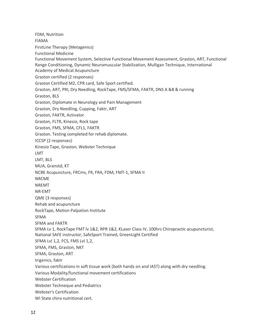FDM, Nutrition FIAMA FirstLine Therapy (Metagenics) Functional Medicine Functional Movement System, Selective Functional Movement Assessment, Graston, ART, Functional Range Conditioning, Dynamic Neuromuscular Stabilization, Mulligan Technique, International Academy of Medical Acupuncture Graston certified (2 responses) Graston Certified M2, CPR card, Safe Sport certified. Graston, ART, PRI, Dry Needling, RockTape, FMS/SFMA, FAKTR, DNS A &B & running Graston, BLS Graston, Diplomate in Neurology and Pain Management Graston, Dry Needling, Cupping, Faktr, ART Graston, FAKTR, Activator Graston, FLTR, Kinesio, Rock tape Graston, FMS, SFMA, CFL1, FAKTR Graston. Testing completed for rehab diplomate. ICCSP (2 responses) Kinesio Tape, Graston, Webster Technique LMT LMT, BLS MUA, Granstd, KT NCBE Acupuncture, FRCms, FR, FRA, FDM, FMT-1, SFMA II NRCME NREMT NR-EMT QME (3 responses) Rehab and acupuncture RockTape, Motion Palpation Institute SFMA SFMA and FAKTR SFMA Lv 1, RockTape FMT lv 1&2, RPR 1&2, KLaser Class IV, 100hrs Chiropractic acupuncturist, National SAFE instructor, SafeSport Trained, GreenLight Certified SFMA Lvl 1,2, FCS, FMS Lvl 1,2, SFMA, FMS, Graston, NKT SFMA, Graston, ART trigenics, faktr Various certifications in soft tissue work (both hands on and IAST) along with dry needling. Various Modality/functional movement certifications Webster Certification Webster Techneque and Pediatrics Webster's Certification WI State chiro nutritional cert.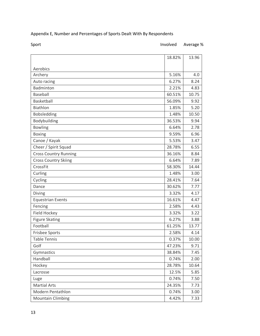## Appendix E, Number and Percentages of Sports Dealt With By Respondents

### Sport Sport **Involved** Average %

|                              | 18.82% | 13.96 |
|------------------------------|--------|-------|
|                              |        |       |
| Aerobics<br>Archery          | 5.16%  | 4.0   |
| Auto racing                  | 6.27%  | 8.24  |
| Badminton                    | 2.21%  | 4.83  |
| Baseball                     | 60.51% | 10.75 |
| Basketball                   | 56.09% | 9.92  |
| <b>Biathlon</b>              | 1.85%  | 5.20  |
| Bobsledding                  | 1.48%  | 10.50 |
| Bodybuilding                 | 36.53% | 9.94  |
| <b>Bowling</b>               | 6.64%  | 2.78  |
| <b>Boxing</b>                | 9.59%  | 6.96  |
| Canoe / Kayak                | 5.53%  | 3.47  |
| Cheer / Spirit Squad         | 28.78% | 6.55  |
| <b>Cross Country Running</b> | 36.16% | 8.84  |
| <b>Cross Country Skiing</b>  | 6.64%  | 7.89  |
| CrossFit                     | 58.30% | 14.44 |
| Curling                      | 1.48%  | 3.00  |
| Cycling                      | 28.41% | 7.64  |
| Dance                        | 30.62% | 7.77  |
| Diving                       | 3.32%  | 4.17  |
| <b>Equestrian Events</b>     | 16.61% | 4.47  |
| Fencing                      | 2.58%  | 4.43  |
| Field Hockey                 | 3.32%  | 3.22  |
| <b>Figure Skating</b>        | 6.27%  | 3.88  |
| Football                     | 61.25% | 13.77 |
| Frisbee Sports               | 2.58%  | 4.14  |
| <b>Table Tennis</b>          | 0.37%  | 10.00 |
| Golf                         | 47.23% | 9.71  |
| Gymnastics                   | 38.84% | 7.45  |
| Handball                     | 0.74%  | 2.00  |
| Hockey                       | 28.78% | 10.64 |
| Lacrosse                     | 12.5%  | 5.85  |
| Luge                         | 0.74%  | 7.50  |
| <b>Martial Arts</b>          | 24.35% | 7.73  |
| Modern Pentathlon            | 0.74%  | 3.00  |
| <b>Mountain Climbing</b>     | 4.42%  | 7.33  |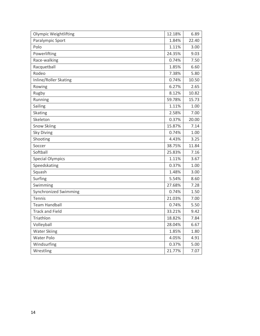| <b>Olympic Weightlifting</b> | 12.18% | 6.89  |
|------------------------------|--------|-------|
| Paralympic Sport             | 1.84%  | 22.40 |
| Polo                         | 1.11%  | 3.00  |
| Powerlifting                 | 24.35% | 9.03  |
| Race-walking                 | 0.74%  | 7.50  |
| Racquetball                  | 1.85%  | 6.60  |
| Rodeo                        | 7.38%  | 5.80  |
| Inline/Roller Skating        | 0.74%  | 10.50 |
| Rowing                       | 6.27%  | 2.65  |
| Rugby                        | 8.12%  | 10.82 |
| Running                      | 59.78% | 15.73 |
| Sailing                      | 1.11%  | 1.00  |
| Skating                      | 2.58%  | 7.00  |
| Skeleton                     | 0.37%  | 20.00 |
| Snow Skiing                  | 15.87% | 7.14  |
| <b>Sky Diving</b>            | 0.74%  | 1.00  |
| Shooting                     | 4.43%  | 3.25  |
| Soccer                       | 38.75% | 11.84 |
| Softball                     | 25.83% | 7.16  |
| <b>Special Olympics</b>      | 1.11%  | 3.67  |
| Speedskating                 | 0.37%  | 1.00  |
| Squash                       | 1.48%  | 3.00  |
| Surfing                      | 5.54%  | 8.60  |
| Swimming                     | 27.68% | 7.28  |
| Synchronized Swimming        | 0.74%  | 1.50  |
| Tennis                       | 21.03% | 7.00  |
| <b>Team Handball</b>         | 0.74%  | 5.50  |
| <b>Track and Field</b>       | 33.21% | 9.42  |
| Triathlon                    | 18.82% | 7.84  |
| Volleyball                   | 28.04% | 6.67  |
| <b>Water Skiing</b>          | 1.85%  | 1.80  |
| Water Polo                   | 4.05%  | 4.91  |
| Windsurfing                  | 0.37%  | 5.00  |
| Wrestling                    | 21.77% | 7.07  |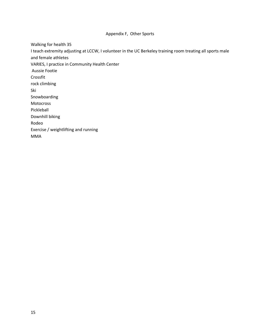#### Appendix F, Other Sports

Walking for health 35

I teach extremity adjusting at LCCW, I volunteer in the UC Berkeley training room treating all sports male and female athletes

VARIES, I practice in Community Health Center

Aussie Footie

Crossfit

rock climbing

Ski

Snowboarding

Motocross

Pickleball

Downhill biking

Rodeo

Exercise / weightlifting and running

MMA